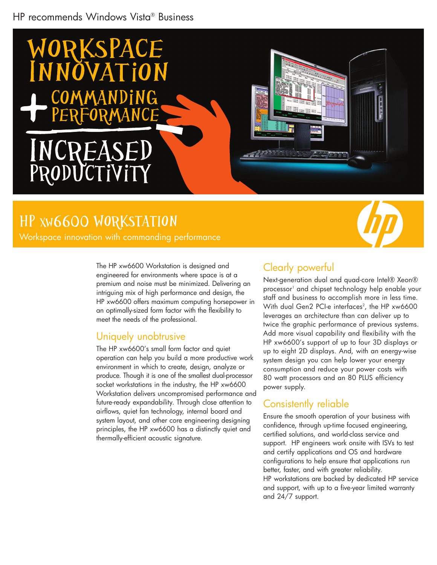### HP recommends Windows Vista® Business



# HP XW6600 WorkstatIon

Workspace innovation with commanding performance

The HP xw6600 Workstation is designed and engineered for environments where space is at a premium and noise must be minimized. Delivering an intriguing mix of high performance and design, the HP xw6600 offers maximum computing horsepower in an optimally-sized form factor with the flexibility to meet the needs of the professional.

#### Uniquely unobtrusive

The HP xw6600's small form factor and quiet operation can help you build a more productive work environment in which to create, design, analyze or produce. Though it is one of the smallest dual-processor socket workstations in the industry, the HP xw6600 Workstation delivers uncompromised performance and future-ready expandability. Through close attention to airflows, quiet fan technology, internal board and system layout, and other core engineering designing principles, the HP xw6600 has a distinctly quiet and thermally-efficient acoustic signature.

## Clearly powerful

Next-generation dual and quad-core Intel® Xeon® processor<sup>1</sup> and chipset technology help enable your staff and business to accomplish more in less time. With dual Gen2 PCI-e intertaces<sup>2</sup>, the HP xw6600 leverages an architecture than can deliver up to twice the graphic performance of previous systems. Add more visual capability and flexibility with the HP xw6600's support of up to four 3D displays or up to eight 2D displays. And, with an energy-wise system design you can help lower your energy consumption and reduce your power costs with 80 watt processors and an 80 PLUS efficiency power supply.

#### Consistently reliable

Ensure the smooth operation of your business with confidence, through up-time focused engineering, certified solutions, and world-class service and support. HP engineers work onsite with ISVs to test and certify applications and OS and hardware configurations to help ensure that applications run better, faster, and with greater reliability. HP workstations are backed by dedicated HP service and support, with up to a five-year limited warranty and 24/7 support.